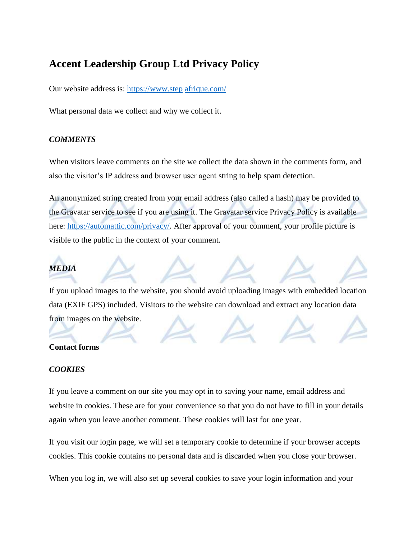# **Accent Leadership Group Ltd Privacy Policy**

Our website address is: [https://www.step](https://www.step/) [afrique.com/](http://afrique.com/)

What personal data we collect and why we collect it.

#### *COMMENTS*

When visitors leave comments on the site we collect the data shown in the comments form, and also the visitor's IP address and browser user agent string to help spam detection.

An anonymized string created from your email address (also called a hash) may be provided to the Gravatar service to see if you are using it. The Gravatar service Privacy Policy is available here: [https://automattic.com/privacy/.](https://automattic.com/privacy/) After approval of your comment, your profile picture is visible to the public in the context of your comment.

## *MEDIA*

If you upload images to the website, you should avoid uploading images with embedded location data (EXIF GPS) included. Visitors to the website can download and extract any location data from images on the website.

### **Contact forms**

### *COOKIES*

If you leave a comment on our site you may opt in to saving your name, email address and website in cookies. These are for your convenience so that you do not have to fill in your details again when you leave another comment. These cookies will last for one year.

If you visit our login page, we will set a temporary cookie to determine if your browser accepts cookies. This cookie contains no personal data and is discarded when you close your browser.

When you log in, we will also set up several cookies to save your login information and your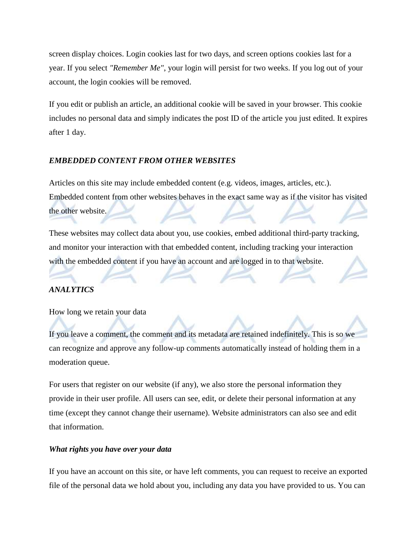screen display choices. Login cookies last for two days, and screen options cookies last for a year. If you select *"Remember Me"*, your login will persist for two weeks. If you log out of your account, the login cookies will be removed.

If you edit or publish an article, an additional cookie will be saved in your browser. This cookie includes no personal data and simply indicates the post ID of the article you just edited. It expires after 1 day.

### *EMBEDDED CONTENT FROM OTHER WEBSITES*

Articles on this site may include embedded content (e.g. videos, images, articles, etc.). Embedded content from other websites behaves in the exact same way as if the visitor has visited the other website.

These websites may collect data about you, use cookies, embed additional third-party tracking, and monitor your interaction with that embedded content, including tracking your interaction with the embedded content if you have an account and are logged in to that website.

#### *ANALYTICS*

How long we retain your data

If you leave a comment, the comment and its metadata are retained indefinitely. This is so we can recognize and approve any follow-up comments automatically instead of holding them in a moderation queue.

For users that register on our website (if any), we also store the personal information they provide in their user profile. All users can see, edit, or delete their personal information at any time (except they cannot change their username). Website administrators can also see and edit that information.

#### *What rights you have over your data*

If you have an account on this site, or have left comments, you can request to receive an exported file of the personal data we hold about you, including any data you have provided to us. You can